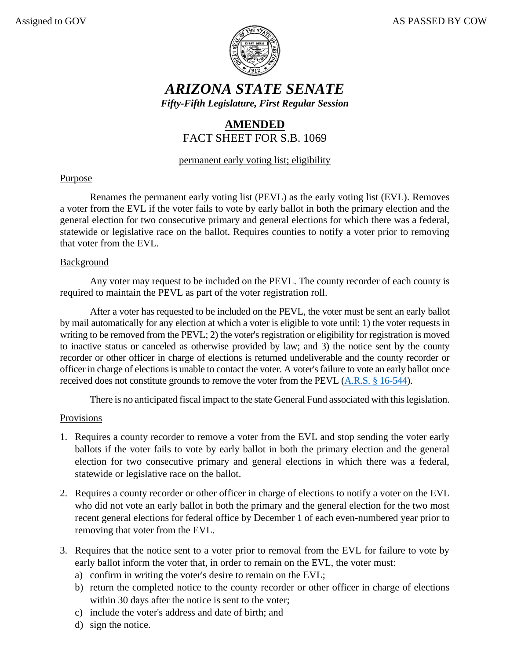

# *ARIZONA STATE SENATE Fifty-Fifth Legislature, First Regular Session*

## **AMENDED** FACT SHEET FOR S.B. 1069

### permanent early voting list; eligibility

### Purpose

Renames the permanent early voting list (PEVL) as the early voting list (EVL). Removes a voter from the EVL if the voter fails to vote by early ballot in both the primary election and the general election for two consecutive primary and general elections for which there was a federal, statewide or legislative race on the ballot. Requires counties to notify a voter prior to removing that voter from the EVL.

#### **Background**

Any voter may request to be included on the PEVL. The county recorder of each county is required to maintain the PEVL as part of the voter registration roll.

After a voter has requested to be included on the PEVL, the voter must be sent an early ballot by mail automatically for any election at which a voter is eligible to vote until: 1) the voter requests in writing to be removed from the PEVL; 2) the voter's registration or eligibility for registration is moved to inactive status or canceled as otherwise provided by law; and 3) the notice sent by the county recorder or other officer in charge of elections is returned undeliverable and the county recorder or officer in charge of elections is unable to contact the voter. A voter's failure to vote an early ballot once received does not constitute grounds to remove the voter from the PEVL [\(A.R.S. § 16-544\)](https://www.azleg.gov/viewdocument/?docName=https://www.azleg.gov/ars/16/00544.htm).

There is no anticipated fiscal impact to the state General Fund associated with this legislation.

#### Provisions

- 1. Requires a county recorder to remove a voter from the EVL and stop sending the voter early ballots if the voter fails to vote by early ballot in both the primary election and the general election for two consecutive primary and general elections in which there was a federal, statewide or legislative race on the ballot.
- 2. Requires a county recorder or other officer in charge of elections to notify a voter on the EVL who did not vote an early ballot in both the primary and the general election for the two most recent general elections for federal office by December 1 of each even-numbered year prior to removing that voter from the EVL.
- 3. Requires that the notice sent to a voter prior to removal from the EVL for failure to vote by early ballot inform the voter that, in order to remain on the EVL, the voter must:
	- a) confirm in writing the voter's desire to remain on the EVL;
	- b) return the completed notice to the county recorder or other officer in charge of elections within 30 days after the notice is sent to the voter;
	- c) include the voter's address and date of birth; and
	- d) sign the notice.